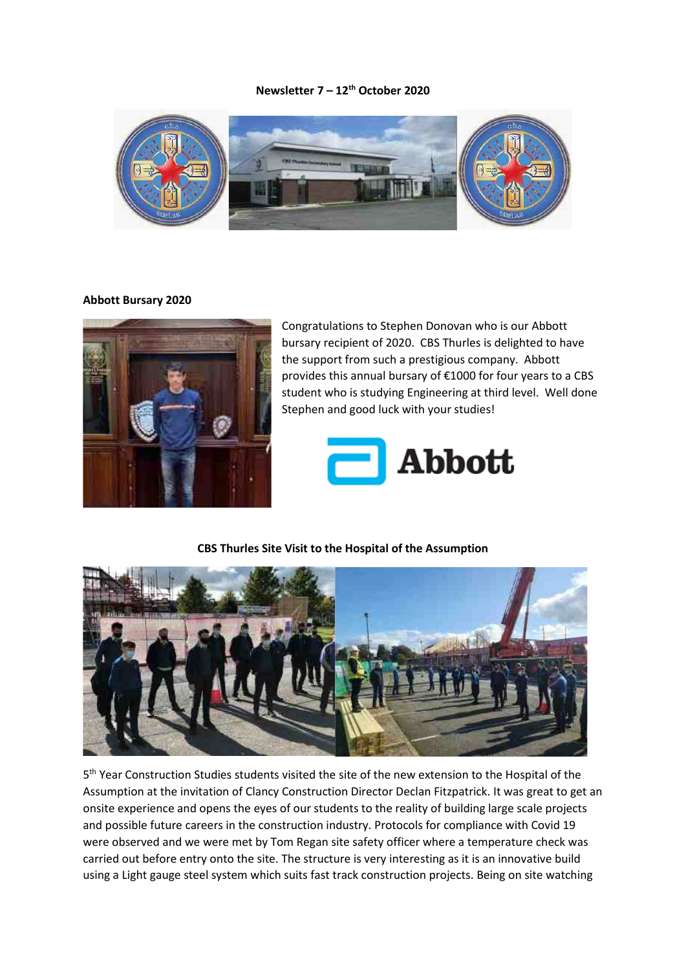### **Newsletter 7 – 12th October 2020**



#### **Abbott Bursary 2020**



Congratulations to Stephen Donovan who is our Abbott bursary recipient of 2020. CBS Thurles is delighted to have the support from such a prestigious company. Abbott provides this annual bursary of €1000 for four years to a CBS student who is studying Engineering at third level. Well done Stephen and good luck with your studies!



#### **CBS Thurles Site Visit to the Hospital of the Assumption**



5<sup>th</sup> Year Construction Studies students visited the site of the new extension to the Hospital of the Assumption at the invitation of Clancy Construction Director Declan Fitzpatrick. It was great to get an onsite experience and opens the eyes of our students to the reality of building large scale projects and possible future careers in the construction industry. Protocols for compliance with Covid 19 were observed and we were met by Tom Regan site safety officer where a temperature check was carried out before entry onto the site. The structure is very interesting as it is an innovative build using a Light gauge steel system which suits fast track construction projects. Being on site watching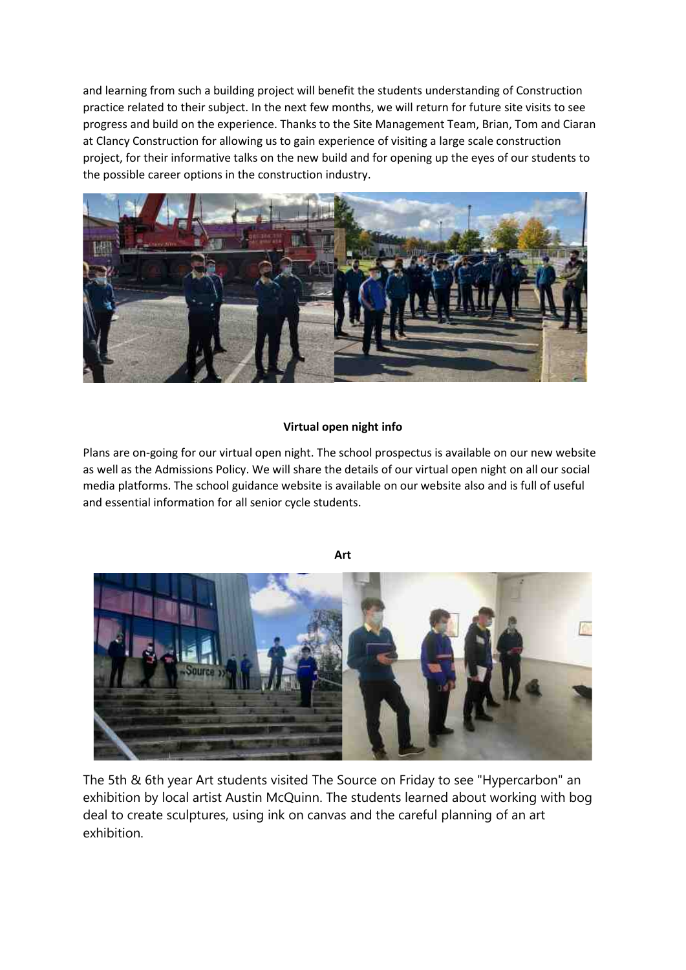and learning from such a building project will benefit the students understanding of Construction practice related to their subject. In the next few months, we will return for future site visits to see progress and build on the experience. Thanks to the Site Management Team, Brian, Tom and Ciaran at Clancy Construction for allowing us to gain experience of visiting a large scale construction project, for their informative talks on the new build and for opening up the eyes of our students to the possible career options in the construction industry.



## **Virtual open night info**

Plans are on-going for our virtual open night. The school prospectus is available on our new website as well as the Admissions Policy. We will share the details of our virtual open night on all our social media platforms. The school guidance website is available on our website also and is full of useful and essential information for all senior cycle students.





The 5th & 6th year Art students visited The Source on Friday to see "Hypercarbon" an exhibition by local artist Austin McQuinn. The students learned about working with bog deal to create sculptures, using ink on canvas and the careful planning of an art exhibition.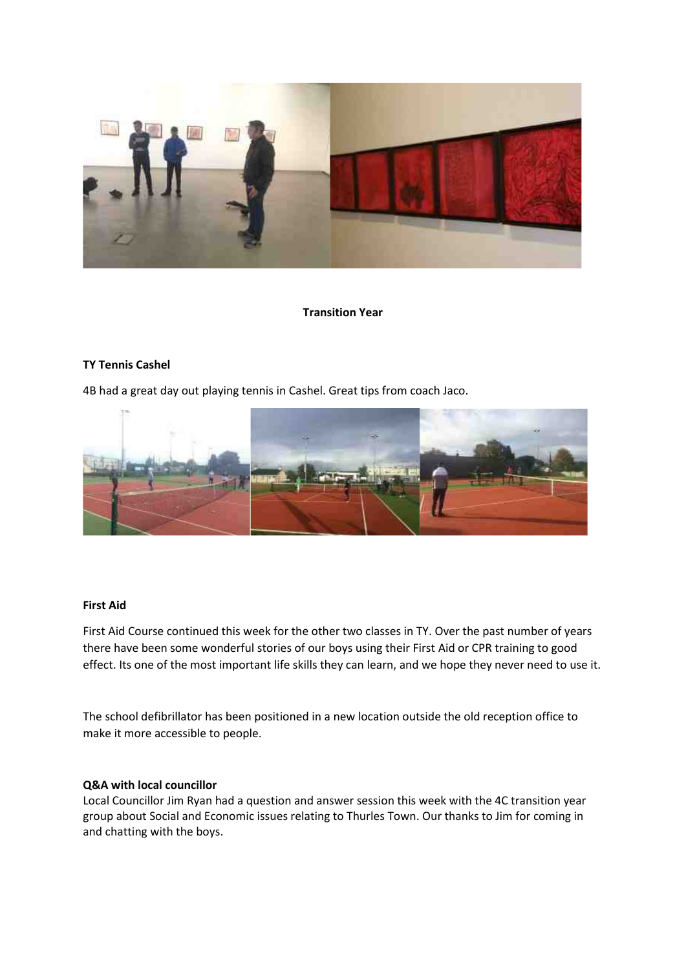

### **Transition Year**

## **TY Tennis Cashel**

4B had a great day out playing tennis in Cashel. Great tips from coach Jaco.



### **First Aid**

First Aid Course continued this week for the other two classes in TY. Over the past number of years there have been some wonderful stories of our boys using their First Aid or CPR training to good effect. Its one of the most important life skills they can learn, and we hope they never need to use it.

The school defibrillator has been positioned in a new location outside the old reception office to make it more accessible to people.

## **Q&A with local councillor**

Local Councillor Jim Ryan had a question and answer session this week with the 4C transition year group about Social and Economic issues relating to Thurles Town. Our thanks to Jim for coming in and chatting with the boys.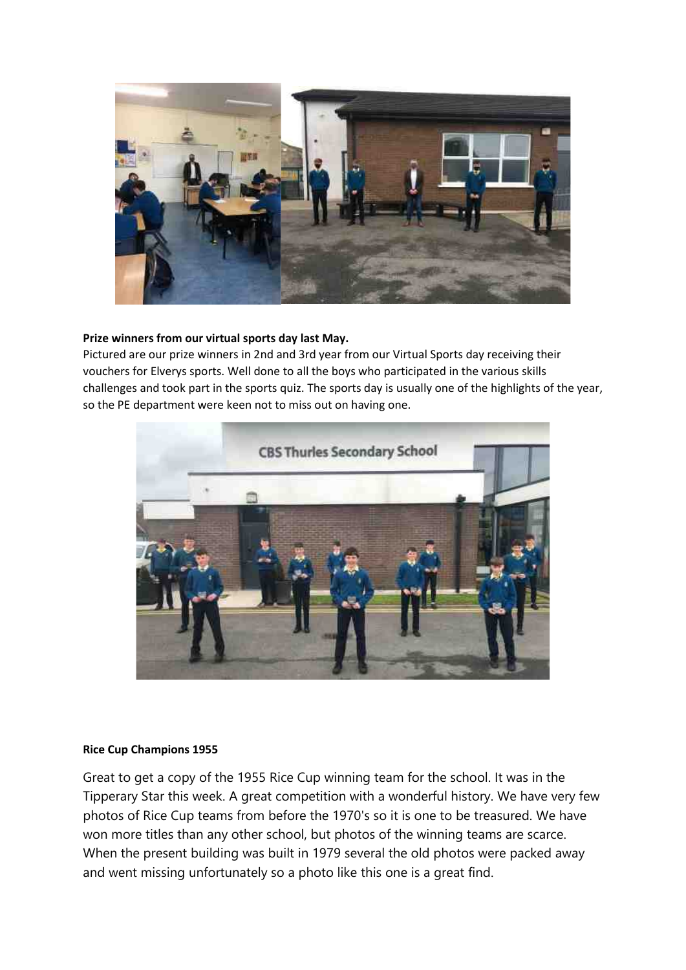

# **Prize winners from our virtual sports day last May.**

Pictured are our prize winners in 2nd and 3rd year from our Virtual Sports day receiving their vouchers for Elverys sports. Well done to all the boys who participated in the various skills challenges and took part in the sports quiz. The sports day is usually one of the highlights of the year, so the PE department were keen not to miss out on having one.



## **Rice Cup Champions 1955**

Great to get a copy of the 1955 Rice Cup winning team for the school. It was in the Tipperary Star this week. A great competition with a wonderful history. We have very few photos of Rice Cup teams from before the 1970's so it is one to be treasured. We have won more titles than any other school, but photos of the winning teams are scarce. When the present building was built in 1979 several the old photos were packed away and went missing unfortunately so a photo like this one is a great find.